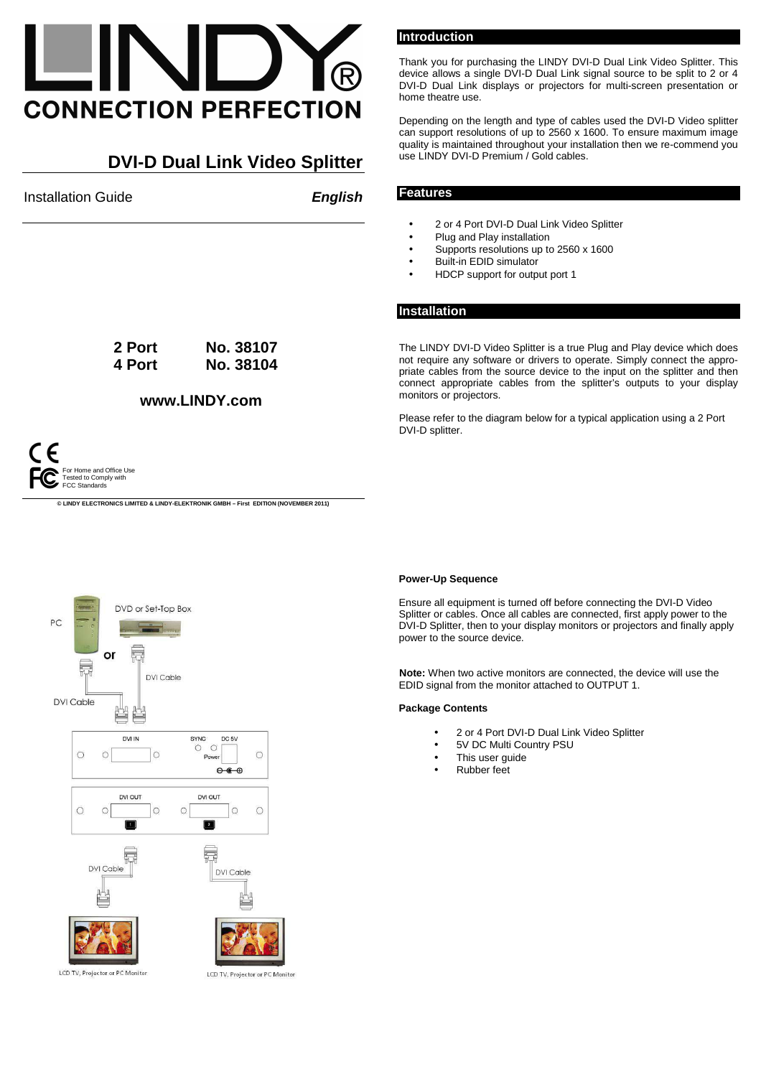# **CONNECTION PERFECTION**

# **DVI-D Dual Link Video Splitter**

**Installation Guide English** 

**Introduction** 

Thank you for purchasing the LINDY DVI-D Dual Link Video Splitter. This device allows a single DVI-D Dual Link signal source to be split to 2 or 4 DVI-D Dual Link displays or projectors for multi-screen presentation or home theatre use.

Depending on the length and type of cables used the DVI-D Video splitter can support resolutions of up to 2560 x 1600. To ensure maximum image quality is maintained throughout your installation then we re-commend you use LINDY DVI-D Premium / Gold cables.

### **Features**

- 2 or 4 Port DVI-D Dual Link Video Splitter
- Plug and Play installation
- Supports resolutions up to 2560 x 1600
- Built-in EDID simulator
- HDCP support for output port 1

#### **Installation**

The LINDY DVI-D Video Splitter is a true Plug and Play device which does not require any software or drivers to operate. Simply connect the appropriate cables from the source device to the input on the splitter and then connect appropriate cables from the splitter's outputs to your display monitors or projectors.

Please refer to the diagram below for a typical application using a 2 Port DVI-D splitter.



**© LINDY ELECTRONICS LIMITED & LINDY-ELEKTRONIK GMBH – First EDITION (NOVEMBER 2011)**

**2 Port No. 38107 4 Port No. 38104** 

**www.LINDY.com**



#### **Power-Up Sequence**

Ensure all equipment is turned off before connecting the DVI-D Video Splitter or cables. Once all cables are connected, first apply power to the DVI-D Splitter, then to your display monitors or projectors and finally apply power to the source device.

**Note:** When two active monitors are connected, the device will use the EDID signal from the monitor attached to OUTPUT 1.

#### **Package Contents**

- 2 or 4 Port DVI-D Dual Link Video Splitter
- 5V DC Multi Country PSU
- This user quide
- Rubber feet